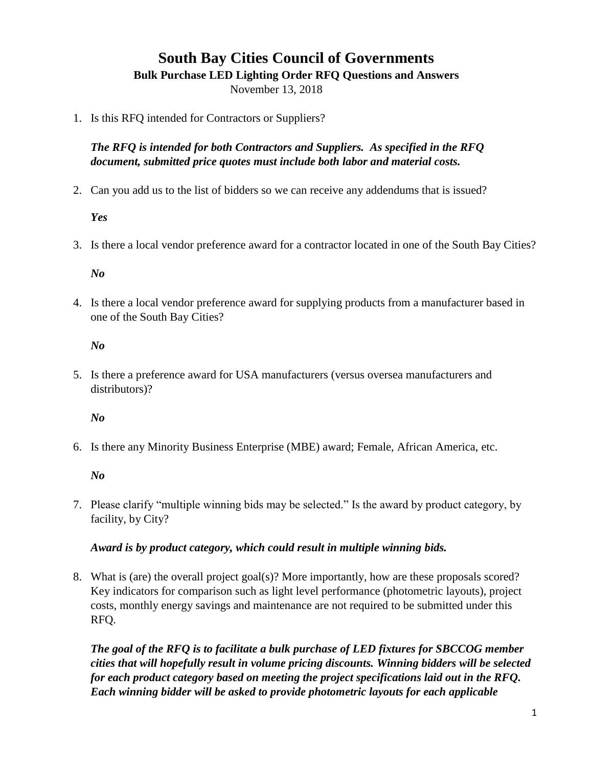# **South Bay Cities Council of Governments**

**Bulk Purchase LED Lighting Order RFQ Questions and Answers**

November 13, 2018

1. Is this RFQ intended for Contractors or Suppliers?

*The RFQ is intended for both Contractors and Suppliers. As specified in the RFQ document, submitted price quotes must include both labor and material costs.*

2. Can you add us to the list of bidders so we can receive any addendums that is issued?

## *Yes*

3. Is there a local vendor preference award for a contractor located in one of the South Bay Cities?

## *No*

4. Is there a local vendor preference award for supplying products from a manufacturer based in one of the South Bay Cities?

## *No*

5. Is there a preference award for USA manufacturers (versus oversea manufacturers and distributors)?

## *No*

6. Is there any Minority Business Enterprise (MBE) award; Female, African America, etc.

## *No*

7. Please clarify "multiple winning bids may be selected." Is the award by product category, by facility, by City?

## *Award is by product category, which could result in multiple winning bids.*

8. What is (are) the overall project goal(s)? More importantly, how are these proposals scored? Key indicators for comparison such as light level performance (photometric layouts), project costs, monthly energy savings and maintenance are not required to be submitted under this RFQ.

*The goal of the RFQ is to facilitate a bulk purchase of LED fixtures for SBCCOG member cities that will hopefully result in volume pricing discounts. Winning bidders will be selected for each product category based on meeting the project specifications laid out in the RFQ. Each winning bidder will be asked to provide photometric layouts for each applicable*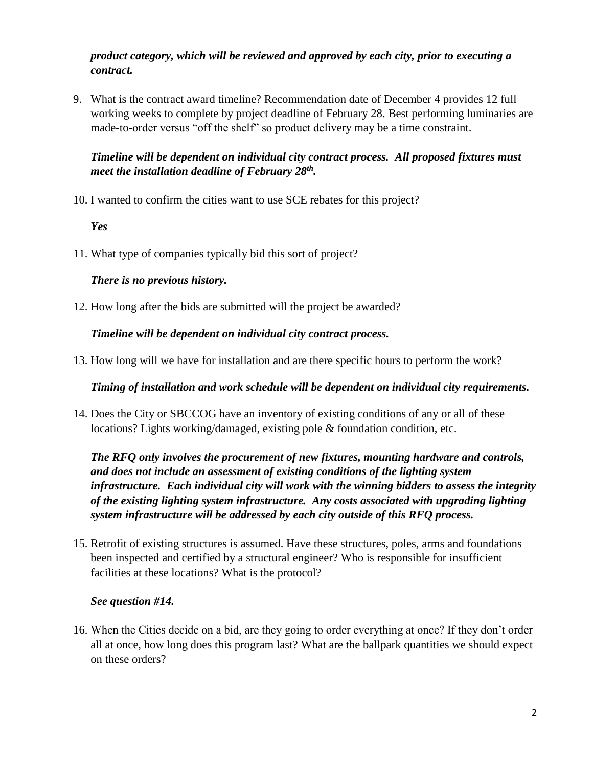## *product category, which will be reviewed and approved by each city, prior to executing a contract.*

9. What is the contract award timeline? Recommendation date of December 4 provides 12 full working weeks to complete by project deadline of February 28. Best performing luminaries are made-to-order versus "off the shelf" so product delivery may be a time constraint.

# *Timeline will be dependent on individual city contract process. All proposed fixtures must meet the installation deadline of February 28th .*

10. I wanted to confirm the cities want to use SCE rebates for this project?

## *Yes*

11. What type of companies typically bid this sort of project?

## *There is no previous history.*

12. How long after the bids are submitted will the project be awarded?

*Timeline will be dependent on individual city contract process.*

13. How long will we have for installation and are there specific hours to perform the work?

*Timing of installation and work schedule will be dependent on individual city requirements.*

14. Does the City or SBCCOG have an inventory of existing conditions of any or all of these locations? Lights working/damaged, existing pole & foundation condition, etc.

*The RFQ only involves the procurement of new fixtures, mounting hardware and controls, and does not include an assessment of existing conditions of the lighting system infrastructure. Each individual city will work with the winning bidders to assess the integrity of the existing lighting system infrastructure. Any costs associated with upgrading lighting system infrastructure will be addressed by each city outside of this RFQ process.* 

15. Retrofit of existing structures is assumed. Have these structures, poles, arms and foundations been inspected and certified by a structural engineer? Who is responsible for insufficient facilities at these locations? What is the protocol?

# *See question #14.*

16. When the Cities decide on a bid, are they going to order everything at once? If they don't order all at once, how long does this program last? What are the ballpark quantities we should expect on these orders?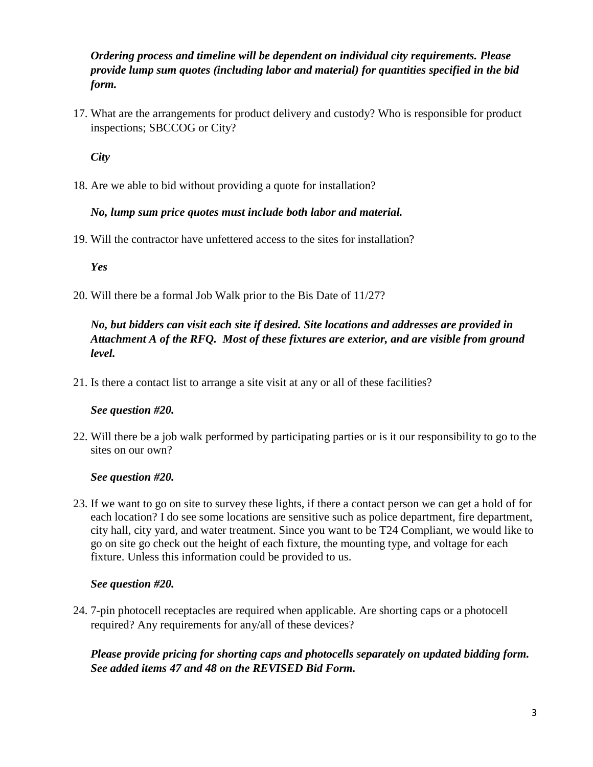# *Ordering process and timeline will be dependent on individual city requirements. Please provide lump sum quotes (including labor and material) for quantities specified in the bid form.*

17. What are the arrangements for product delivery and custody? Who is responsible for product inspections; SBCCOG or City?

*City* 

18. Are we able to bid without providing a quote for installation?

## *No, lump sum price quotes must include both labor and material.*

19. Will the contractor have unfettered access to the sites for installation?

*Yes* 

20. Will there be a formal Job Walk prior to the Bis Date of 11/27?

# *No, but bidders can visit each site if desired. Site locations and addresses are provided in Attachment A of the RFQ. Most of these fixtures are exterior, and are visible from ground level.*

21. Is there a contact list to arrange a site visit at any or all of these facilities?

# *See question #20.*

22. Will there be a job walk performed by participating parties or is it our responsibility to go to the sites on our own?

## *See question #20.*

23. If we want to go on site to survey these lights, if there a contact person we can get a hold of for each location? I do see some locations are sensitive such as police department, fire department, city hall, city yard, and water treatment. Since you want to be T24 Compliant, we would like to go on site go check out the height of each fixture, the mounting type, and voltage for each fixture. Unless this information could be provided to us.

## *See question #20.*

24. 7-pin photocell receptacles are required when applicable. Are shorting caps or a photocell required? Any requirements for any/all of these devices?

*Please provide pricing for shorting caps and photocells separately on updated bidding form. See added items 47 and 48 on the REVISED Bid Form.*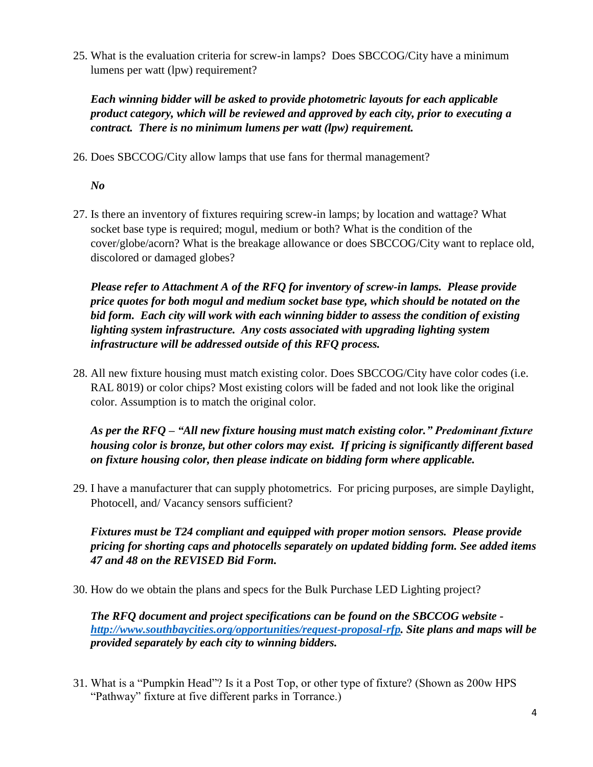25. What is the evaluation criteria for screw-in lamps? Does SBCCOG/City have a minimum lumens per watt (lpw) requirement?

*Each winning bidder will be asked to provide photometric layouts for each applicable product category, which will be reviewed and approved by each city, prior to executing a contract. There is no minimum lumens per watt (lpw) requirement.*

26. Does SBCCOG/City allow lamps that use fans for thermal management?

# *No*

27. Is there an inventory of fixtures requiring screw-in lamps; by location and wattage? What socket base type is required; mogul, medium or both? What is the condition of the cover/globe/acorn? What is the breakage allowance or does SBCCOG/City want to replace old, discolored or damaged globes?

*Please refer to Attachment A of the RFQ for inventory of screw-in lamps. Please provide price quotes for both mogul and medium socket base type, which should be notated on the bid form. Each city will work with each winning bidder to assess the condition of existing lighting system infrastructure. Any costs associated with upgrading lighting system infrastructure will be addressed outside of this RFQ process.*

28. All new fixture housing must match existing color. Does SBCCOG/City have color codes (i.e. RAL 8019) or color chips? Most existing colors will be faded and not look like the original color. Assumption is to match the original color.

*As per the RFQ – "All new fixture housing must match existing color." Predominant fixture housing color is bronze, but other colors may exist. If pricing is significantly different based on fixture housing color, then please indicate on bidding form where applicable.*

29. I have a manufacturer that can supply photometrics. For pricing purposes, are simple Daylight, Photocell, and/ Vacancy sensors sufficient?

*Fixtures must be T24 compliant and equipped with proper motion sensors. Please provide pricing for shorting caps and photocells separately on updated bidding form. See added items 47 and 48 on the REVISED Bid Form.*

30. How do we obtain the plans and specs for the Bulk Purchase LED Lighting project?

*The RFQ document and project specifications can be found on the SBCCOG website [http://www.southbaycities.org/opportunities/request-proposal-rfp.](http://www.southbaycities.org/opportunities/request-proposal-rfp) Site plans and maps will be provided separately by each city to winning bidders.*

31. What is a "Pumpkin Head"? Is it a Post Top, or other type of fixture? (Shown as 200w HPS "Pathway" fixture at five different parks in Torrance.)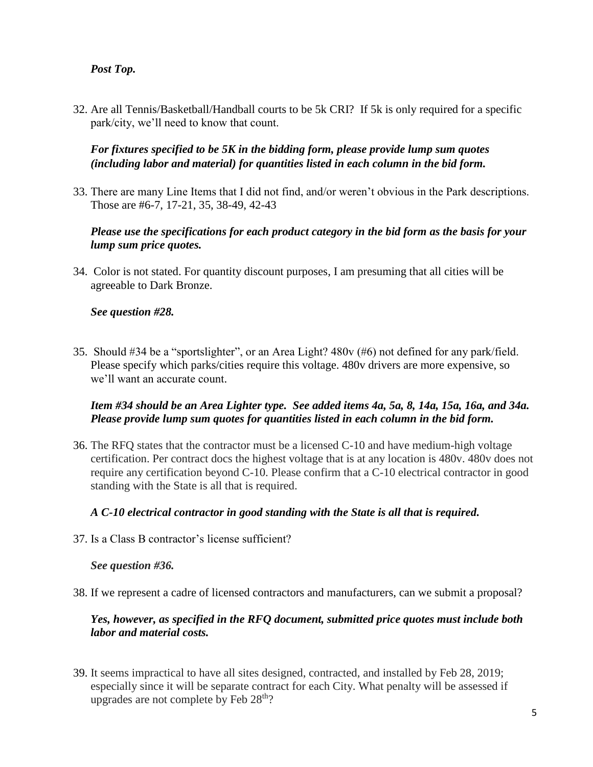## *Post Top.*

32. Are all Tennis/Basketball/Handball courts to be 5k CRI? If 5k is only required for a specific park/city, we'll need to know that count.

## *For fixtures specified to be 5K in the bidding form, please provide lump sum quotes (including labor and material) for quantities listed in each column in the bid form.*

33. There are many Line Items that I did not find, and/or weren't obvious in the Park descriptions. Those are #6-7, 17-21, 35, 38-49, 42-43

## *Please use the specifications for each product category in the bid form as the basis for your lump sum price quotes.*

34. Color is not stated. For quantity discount purposes, I am presuming that all cities will be agreeable to Dark Bronze.

#### *See question #28.*

35. Should #34 be a "sportslighter", or an Area Light? 480v (#6) not defined for any park/field. Please specify which parks/cities require this voltage. 480v drivers are more expensive, so we'll want an accurate count.

#### *Item #34 should be an Area Lighter type. See added items 4a, 5a, 8, 14a, 15a, 16a, and 34a. Please provide lump sum quotes for quantities listed in each column in the bid form.*

36. The RFQ states that the contractor must be a licensed C-10 and have medium-high voltage certification. Per contract docs the highest voltage that is at any location is 480v. 480v does not require any certification beyond C-10. Please confirm that a C-10 electrical contractor in good standing with the State is all that is required.

#### *A C-10 electrical contractor in good standing with the State is all that is required.*

37. Is a Class B contractor's license sufficient?

#### *See question #36.*

38. If we represent a cadre of licensed contractors and manufacturers, can we submit a proposal?

#### *Yes, however, as specified in the RFQ document, submitted price quotes must include both labor and material costs.*

39. It seems impractical to have all sites designed, contracted, and installed by Feb 28, 2019; especially since it will be separate contract for each City. What penalty will be assessed if upgrades are not complete by Feb  $28<sup>th</sup>$ ?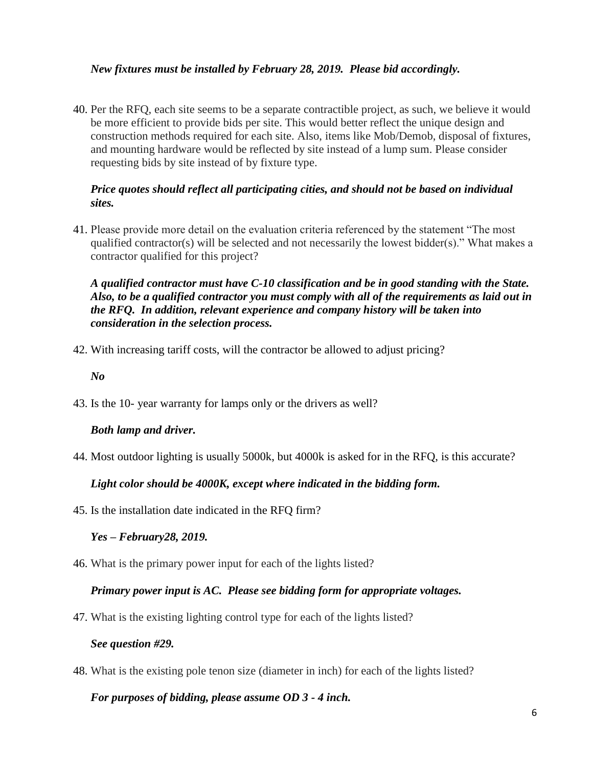## *New fixtures must be installed by February 28, 2019. Please bid accordingly.*

40. Per the RFQ, each site seems to be a separate contractible project, as such, we believe it would be more efficient to provide bids per site. This would better reflect the unique design and construction methods required for each site. Also, items like Mob/Demob, disposal of fixtures, and mounting hardware would be reflected by site instead of a lump sum. Please consider requesting bids by site instead of by fixture type.

#### *Price quotes should reflect all participating cities, and should not be based on individual sites.*

41. Please provide more detail on the evaluation criteria referenced by the statement "The most qualified contractor(s) will be selected and not necessarily the lowest bidder(s)." What makes a contractor qualified for this project?

*A qualified contractor must have C-10 classification and be in good standing with the State. Also, to be a qualified contractor you must comply with all of the requirements as laid out in the RFQ. In addition, relevant experience and company history will be taken into consideration in the selection process.* 

42. With increasing tariff costs, will the contractor be allowed to adjust pricing?

*No*

43. Is the 10- year warranty for lamps only or the drivers as well?

## *Both lamp and driver.*

44. Most outdoor lighting is usually 5000k, but 4000k is asked for in the RFQ, is this accurate?

## *Light color should be 4000K, except where indicated in the bidding form.*

45. Is the installation date indicated in the RFQ firm?

#### *Yes – February28, 2019.*

46. What is the primary power input for each of the lights listed?

#### *Primary power input is AC. Please see bidding form for appropriate voltages.*

47. What is the existing lighting control type for each of the lights listed?

#### *See question #29.*

48. What is the existing pole tenon size (diameter in inch) for each of the lights listed?

#### *For purposes of bidding, please assume OD 3 - 4 inch.*